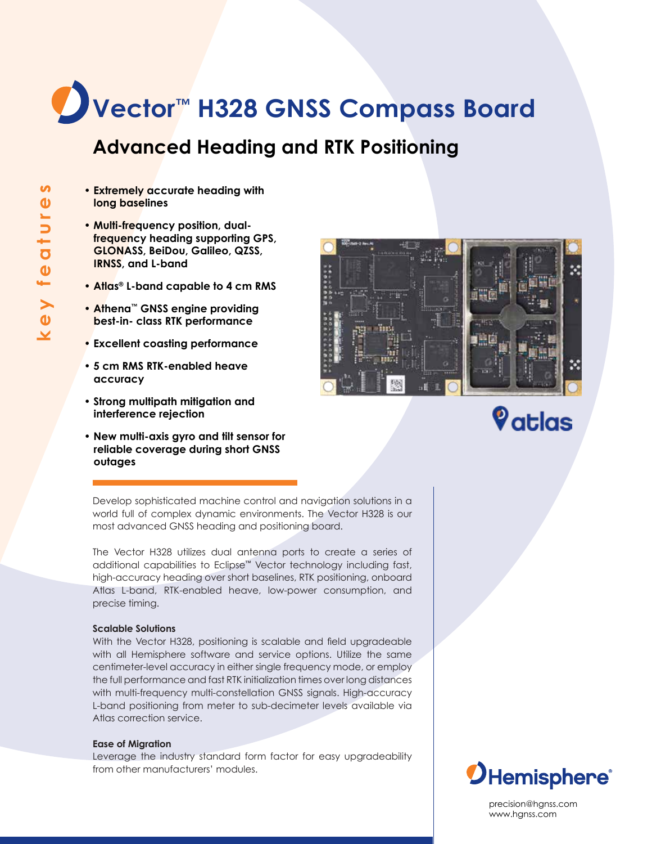# **Vector™ H328 GNSS Compass Board**

## **Advanced Heading and RTK Positioning**

- **Extremely accurate heading with long baselines**
- **Multi-frequency position, dualfrequency heading supporting GPS, GLONASS, BeiDou, Galileo, QZSS, IRNSS, and L-band**
- **Atlas® L-band capable to 4 cm RMS**
- **Athena™ GNSS engine providing best-in- class RTK performance**
- **Excellent coasting performance**
- **5 cm RMS RTK-enabled heave accuracy**
- **Strong multipath mitigation and interference rejection**
- **New multi-axis gyro and tilt sensor for reliable coverage during short GNSS outages**



# **V**atlas

Develop sophisticated machine control and navigation solutions in a world full of complex dynamic environments. The Vector H328 is our most advanced GNSS heading and positioning board.

The Vector H328 utilizes dual antenna ports to create a series of additional capabilities to Eclipse™ Vector technology including fast, high-accuracy heading over short baselines, RTK positioning, onboard Atlas L-band, RTK-enabled heave, low-power consumption, and precise timing.

## **Scalable Solutions**

With the Vector H328, positioning is scalable and field upgradeable with all Hemisphere software and service options. Utilize the same centimeter-level accuracy in either single frequency mode, or employ the full performance and fast RTK initialization times over long distances with multi-frequency multi-constellation GNSS signals. High-accuracy L-band positioning from meter to sub-decimeter levels available via Atlas correction service.

## **Ease of Migration**

Leverage the industry standard form factor for easy upgradeability from other manufacturers' modules.



precision@hgnss.com www.hgnss.com

*OHemisphere*